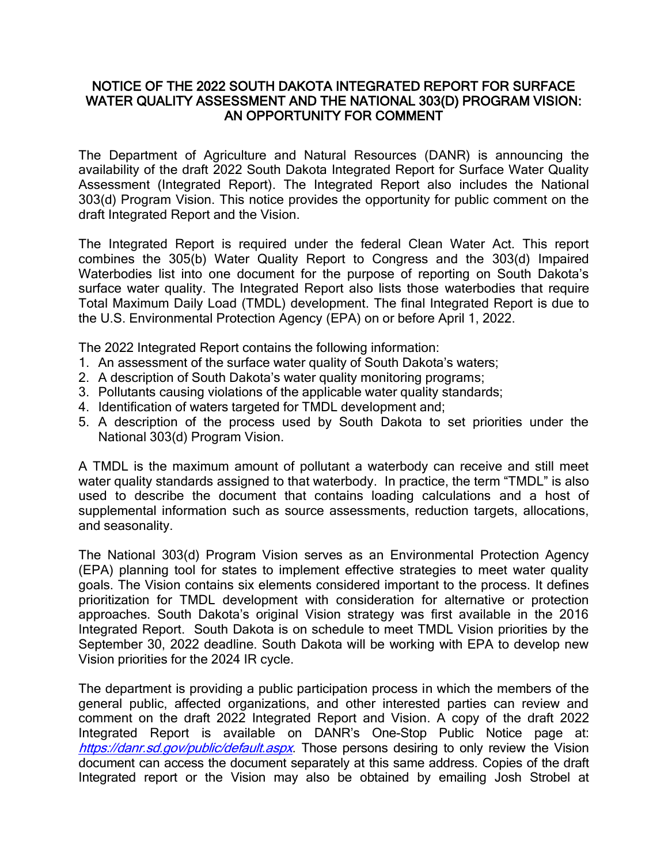## NOTICE OF THE 2022 SOUTH DAKOTA INTEGRATED REPORT FOR SURFACE WATER QUALITY ASSESSMENT AND THE NATIONAL 303(D) PROGRAM VISION: AN OPPORTUNITY FOR COMMENT

The Department of Agriculture and Natural Resources (DANR) is announcing the availability of the draft 2022 South Dakota Integrated Report for Surface Water Quality Assessment (Integrated Report). The Integrated Report also includes the National 303(d) Program Vision. This notice provides the opportunity for public comment on the draft Integrated Report and the Vision.

The Integrated Report is required under the federal Clean Water Act. This report combines the 305(b) Water Quality Report to Congress and the 303(d) Impaired Waterbodies list into one document for the purpose of reporting on South Dakota's surface water quality. The Integrated Report also lists those waterbodies that require Total Maximum Daily Load (TMDL) development. The final Integrated Report is due to the U.S. Environmental Protection Agency (EPA) on or before April 1, 2022.

The 2022 Integrated Report contains the following information:

- 1. An assessment of the surface water quality of South Dakota's waters;
- 2. A description of South Dakota's water quality monitoring programs;
- 3. Pollutants causing violations of the applicable water quality standards;
- 4. Identification of waters targeted for TMDL development and;
- 5. A description of the process used by South Dakota to set priorities under the National 303(d) Program Vision.

A TMDL is the maximum amount of pollutant a waterbody can receive and still meet water quality standards assigned to that waterbody. In practice, the term "TMDL" is also used to describe the document that contains loading calculations and a host of supplemental information such as source assessments, reduction targets, allocations, and seasonality.

The National 303(d) Program Vision serves as an Environmental Protection Agency (EPA) planning tool for states to implement effective strategies to meet water quality goals. The Vision contains six elements considered important to the process. It defines prioritization for TMDL development with consideration for alternative or protection approaches. South Dakota's original Vision strategy was first available in the 2016 Integrated Report. South Dakota is on schedule to meet TMDL Vision priorities by the September 30, 2022 deadline. South Dakota will be working with EPA to develop new Vision priorities for the 2024 IR cycle.

The department is providing a public participation process in which the members of the general public, affected organizations, and other interested parties can review and comment on the draft 2022 Integrated Report and Vision. A copy of the draft 2022 Integrated Report is available on DANR's One-Stop Public Notice page at: <https://danr.sd.gov/public/default.aspx>. Those persons desiring to only review the Vision document can access the document separately at this same address. Copies of the draft Integrated report or the Vision may also be obtained by emailing Josh Strobel at